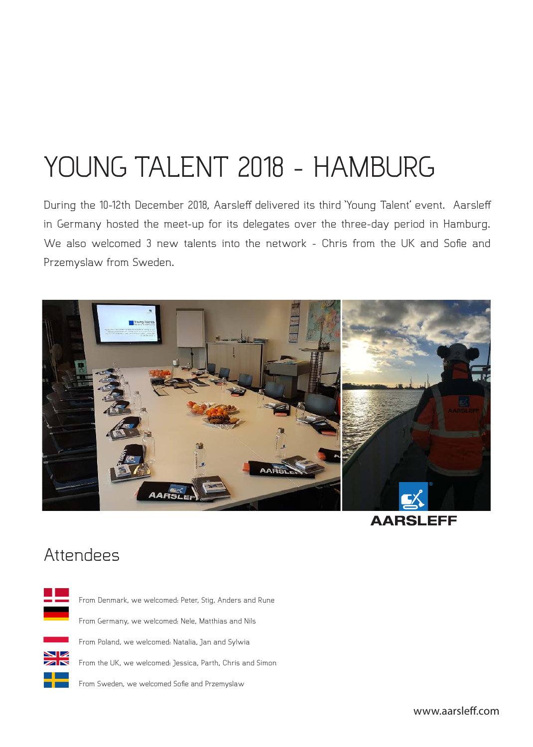# YOUNG TALENT 2018 - HAMBURG

During the 10-12th December 2018, Aarsleff delivered its third 'Young Talent' event. Aarsleff in Germany hosted the meet-up for its delegates over the three-day period in Hamburg. We also welcomed 3 new talents into the network - Chris from the UK and Sofie and Przemyslaw from Sweden.



**AARSLEFF** 

## Attendees



www.aarslef.com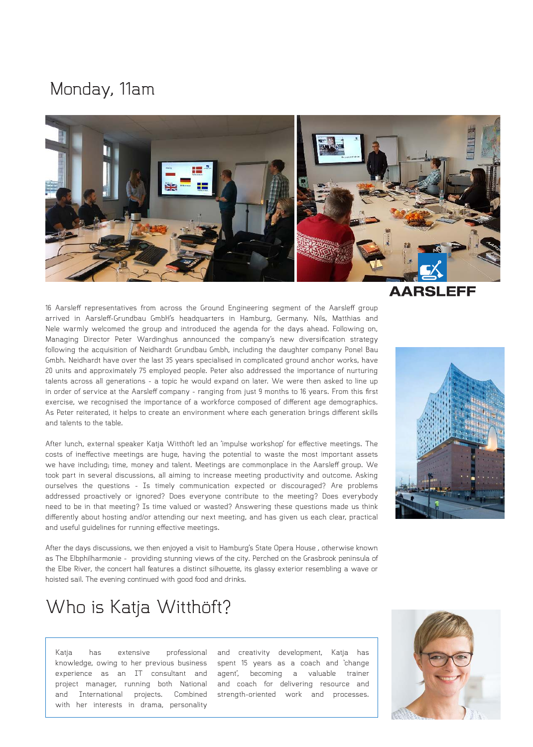#### Monday, 11am



16 Aarsleff representatives from across the Ground Engineering segment of the Aarsleff group arrived in Aarslef-Grundbau GmbH's headquarters in Hamburg, Germany. Nils, Matthias and Nele warmly welcomed the group and introduced the agenda for the days ahead. Following on, Managing Director Peter Wardinghus announced the company's new diversification strategy following the acquisition of Neidhardt Grundbau Gmbh, including the daughter company Ponel Bau Gmbh. Neidhardt have over the last 35 years specialised in complicated ground anchor works, have 20 units and approximately 75 employed people. Peter also addressed the importance of nurturing talents across all generations - a topic he would expand on later. We were then asked to line up in order of service at the Aarsleff company - ranging from just 9 months to 16 years. From this first exercise, we recognised the importance of a workforce composed of diferent age demographics. As Peter reiterated, it helps to create an environment where each generation brings diferent skills and talents to the table.

After lunch, external speaker Katja Witthöft led an 'impulse workshop' for efective meetings. The costs of inefective meetings are huge, having the potential to waste the most important assets we have including; time, money and talent. Meetings are commonplace in the Aarslef group. We took part in several discussions, all aiming to increase meeting productivity and outcome. Asking ourselves the questions - Is timely communication expected or discouraged? Are problems addressed proactively or ignored? Does everyone contribute to the meeting? Does everybody need to be in that meeting? Is time valued or wasted? Answering these questions made us think diferently about hosting and/or attending our next meeting, and has given us each clear, practical and useful guidelines for running efective meetings.

After the days discussions, we then enjoyed a visit to Hamburg's State Opera House , otherwise known as The Elbphilharmonie - providing stunning views of the city. Perched on the Grasbrook peninsula of the Elbe River, the concert hall features a distinct silhouette, its glassy exterior resembling a wave or hoisted sail. The evening continued with good food and drinks.

## Who is Katja Witthöft?

Katja has extensive professional knowledge, owing to her previous business experience as an IT consultant and project manager, running both National and International projects. Combined with her interests in drama, personality

and creativity development, Katja has spent 15 years as a coach and 'change agent', becoming a valuable trainer and coach for delivering resource and strength-oriented work and processes.

#### **AARSLEFF**



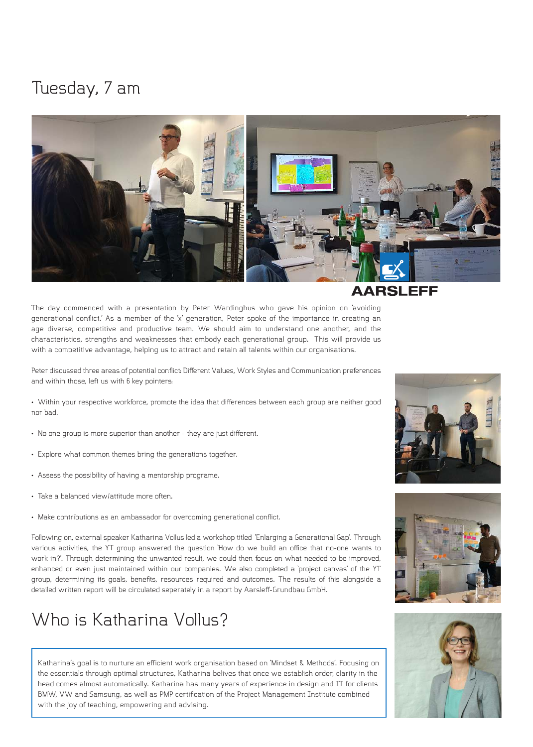#### Tuesday, 7 am



The day commenced with a presentation by Peter Wardinghus who gave his opinion on 'avoiding generational conlict.' As a member of the 'x' generation, Peter spoke of the importance in creating an age diverse, competitive and productive team. We should aim to understand one another, and the characteristics, strengths and weaknesses that embody each generational group. This will provide us with a competitive advantage, helping us to attract and retain all talents within our organisations.

Peter discussed three areas of potential conflict: Different Values, Work Styles and Communication preferences and within those, left us with 6 key pointers:

- Within your respective workforce, promote the idea that diferences between each group are neither good nor bad.
- No one group is more superior than another they are just diferent.
- Explore what common themes bring the generations together.
- Assess the possibility of having a mentorship programe.
- Take a balanced view/attitude more often.
- Make contributions as an ambassador for overcoming generational conflict.

Following on, external speaker Katharina Vollus led a workshop titled 'Enlarging a Generational Gap'. Through various activities, the YT group answered the question 'How do we build an ofice that no-one wants to work in?'. Through determining the unwanted result, we could then focus on what needed to be improved, enhanced or even just maintained within our companies. We also completed a 'project canvas' of the YT group, determining its goals, beneits, resources required and outcomes. The results of this alongside a detailed written report will be circulated seperately in a report by Aarsleff-Grundbau GmbH.

#### Who is Katharina Vollus?

Katharina's goal is to nurture an eficient work organisation based on 'Mindset & Methods'. Focusing on the essentials through optimal structures, Katharina belives that once we establish order, clarity in the head comes almost automatically. Katharina has many years of experience in design and IT for clients BMW, VW and Samsung, as well as PMP certification of the Project Management Institute combined with the joy of teaching, empowering and advising.

#### EFF





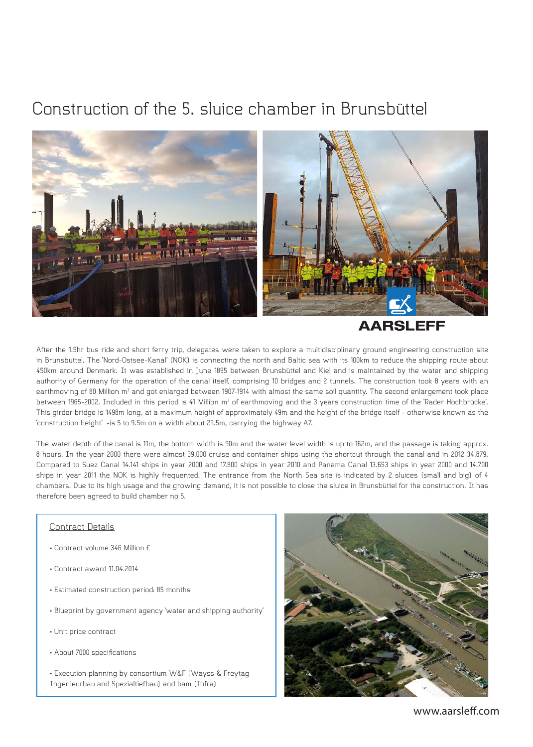## Construction of the 5. sluice chamber in Brunsbüttel



**AARSLEFF** 

After the 1.5hr bus ride and short ferry trip, delegates were taken to explore a multidisciplinary ground engineering construction site in Brunsbüttel. The 'Nord-Ostsee-Kanal' (NOK) is connecting the north and Baltic sea with its 100km to reduce the shipping route about 450km around Denmark. It was established in June 1895 between Brunsbüttel and Kiel and is maintained by the water and shipping authority of Germany for the operation of the canal itself, comprising 10 bridges and 2 tunnels. The construction took 8 years with an earthmoving of 80 Million m<sup>3</sup> and got enlarged between 1907-1914 with almost the same soil quantity. The second enlargement took place between 1965-2002. Included in this period is 41 Million m<sup>3</sup> of earthmoving and the 3 years construction time of the 'Rader Hochbrücke'. This girder bridge is 1498m long, at a maximum height of approximately 49m and the height of the bridge itself - otherwise known as the 'construction height' -is 5 to 9.5m on a width about 29.5m, carrying the highway A7.

The water depth of the canal is 11m, the bottom width is 90m and the water level width is up to 162m, and the passage is taking approx. 8 hours. In the year 2000 there were almost 39.000 cruise and container ships using the shortcut through the canal and in 2012 34.879. Compared to Suez Canal 14.141 ships in year 2000 and 17.800 ships in year 2010 and Panama Canal 13.653 ships in year 2000 and 14.700 ships in year 2011 the NOK is highly frequented. The entrance from the North Sea site is indicated by 2 sluices (small and big) of 4 chambers. Due to its high usage and the growing demand, it is not possible to close the sluice in Brunsbüttel for the construction. It has therefore been agreed to build chamber no 5.

#### Contract Details

- Contract volume 346 Million €
- Contract award 11.04.2014
- Estimated construction period: 85 months
- Blueprint by government agency 'water and shipping authority'
- Unit price contract
- About 7000 specifications
- Execution planning by consortium W&F (Wayss & Freytag Ingenieurbau and Spezialtiefbau) and bam (Infra)



www.aarslef.com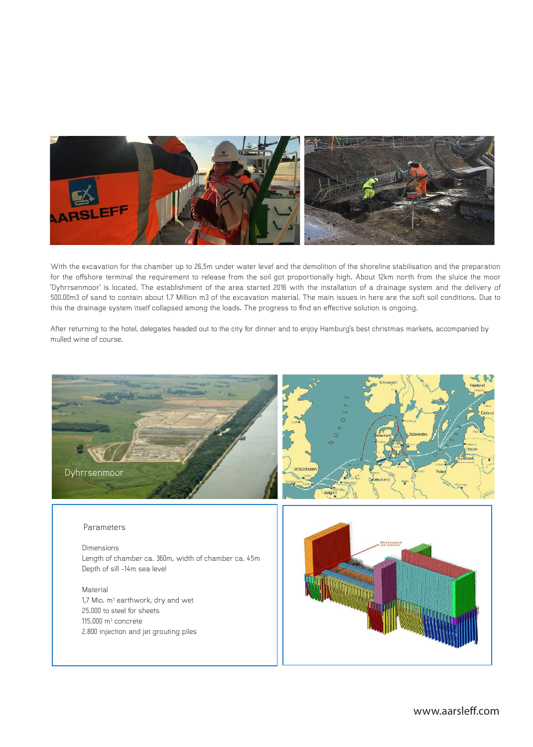

With the excavation for the chamber up to 26,5m under water level and the demolition of the shoreline stabilisation and the preparation for the ofshore terminal the requirement to release from the soil got proportionally high. About 12km north from the sluice the moor 'Dyhrrsenmoor' is located. The establishment of the area started 2016 with the installation of a drainage system and the delivery of 500.00m3 of sand to contain about 1.7 Million m3 of the excavation material. The main issues in here are the soft soil conditions. Due to this the drainage system itself collapsed among the loads. The progress to ind an efective solution is ongoing.

After returning to the hotel, delegates headed out to the city for dinner and to enjoy Hamburg's best christmas markets, accompanied by mulled wine of course.

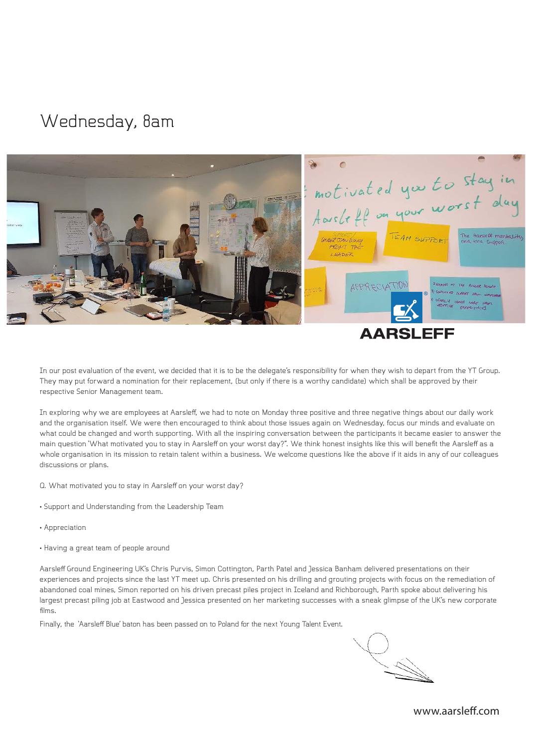#### Wednesday, 8am



In our post evaluation of the event, we decided that it is to be the delegate's responsibility for when they wish to depart from the YT Group. They may put forward a nomination for their replacement, (but only if there is a worthy candidate) which shall be approved by their respective Senior Management team.

In exploring why we are employees at Aarslef, we had to note on Monday three positive and three negative things about our daily work and the organisation itself. We were then encouraged to think about those issues again on Wednesday, focus our minds and evaluate on what could be changed and worth supporting. With all the inspiring conversation between the participants it became easier to answer the main question 'What motivated you to stay in Aarsleff on your worst day?". We think honest insights like this will benefit the Aarsleff as a whole organisation in its mission to retain talent within a business. We welcome questions like the above if it aids in any of our colleagues discussions or plans.

Q. What motivated you to stay in Aarsleff on your worst day?

- Support and Understanding from the Leadership Team
- Appreciation
- Having a great team of people around

Aarslef Ground Engineering UK's Chris Purvis, Simon Cottington, Parth Patel and Jessica Banham delivered presentations on their experiences and projects since the last YT meet up. Chris presented on his drilling and grouting projects with focus on the remediation of abandoned coal mines, Simon reported on his driven precast piles project in Iceland and Richborough, Parth spoke about delivering his largest precast piling job at Eastwood and Jessica presented on her marketing successes with a sneak glimpse of the UK's new corporate films.

Finally, the 'Aarslef Blue' baton has been passed on to Poland for the next Young Talent Event.

www.aarslef.com